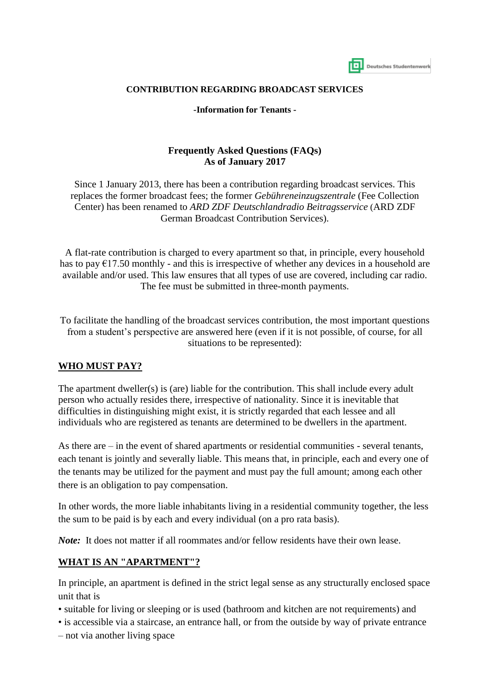| Deutsches Studentenwerk |
|-------------------------|

#### **CONTRIBUTION REGARDING BROADCAST SERVICES**

**-Information for Tenants -**

#### **Frequently Asked Questions (FAQs) As of January 2017**

Since 1 January 2013, there has been a contribution regarding broadcast services. This replaces the former broadcast fees; the former *Gebühreneinzugszentrale* (Fee Collection Center) has been renamed to *ARD ZDF Deutschlandradio Beitragsservice* (ARD ZDF German Broadcast Contribution Services).

A flat-rate contribution is charged to every apartment so that, in principle, every household has to pay  $\epsilon$ 17.50 monthly - and this is irrespective of whether any devices in a household are available and/or used. This law ensures that all types of use are covered, including car radio. The fee must be submitted in three-month payments.

To facilitate the handling of the broadcast services contribution, the most important questions from a student's perspective are answered here (even if it is not possible, of course, for all situations to be represented):

#### **WHO MUST PAY?**

The apartment dweller(s) is (are) liable for the contribution. This shall include every adult person who actually resides there, irrespective of nationality. Since it is inevitable that difficulties in distinguishing might exist, it is strictly regarded that each lessee and all individuals who are registered as tenants are determined to be dwellers in the apartment.

As there are – in the event of shared apartments or residential communities - several tenants, each tenant is jointly and severally liable. This means that, in principle, each and every one of the tenants may be utilized for the payment and must pay the full amount; among each other there is an obligation to pay compensation.

In other words, the more liable inhabitants living in a residential community together, the less the sum to be paid is by each and every individual (on a pro rata basis).

*Note:* It does not matter if all roommates and/or fellow residents have their own lease.

#### **WHAT IS AN "APARTMENT"?**

In principle, an apartment is defined in the strict legal sense as any structurally enclosed space unit that is

- suitable for living or sleeping or is used (bathroom and kitchen are not requirements) and
- is accessible via a staircase, an entrance hall, or from the outside by way of private entrance
- not via another living space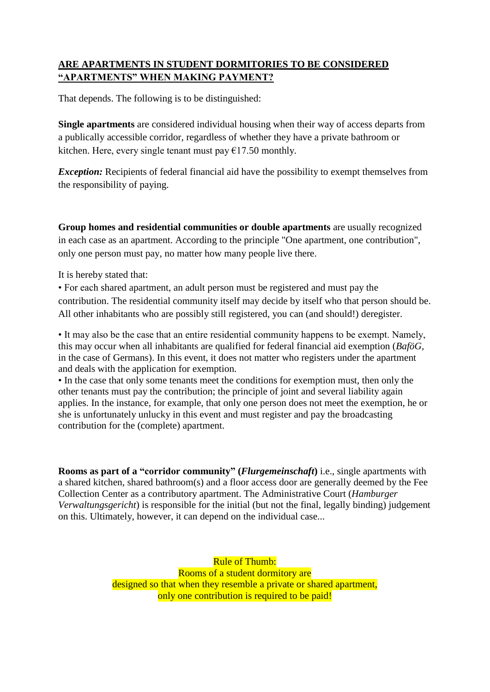## **ARE APARTMENTS IN STUDENT DORMITORIES TO BE CONSIDERED "APARTMENTS" WHEN MAKING PAYMENT?**

That depends. The following is to be distinguished:

**Single apartments** are considered individual housing when their way of access departs from a publically accessible corridor, regardless of whether they have a private bathroom or kitchen. Here, every single tenant must pay  $\epsilon$ 17.50 monthly.

*Exception:* Recipients of federal financial aid have the possibility to exempt themselves from the responsibility of paying.

**Group homes and residential communities or double apartments** are usually recognized in each case as an apartment. According to the principle "One apartment, one contribution", only one person must pay, no matter how many people live there.

It is hereby stated that:

• For each shared apartment, an adult person must be registered and must pay the contribution. The residential community itself may decide by itself who that person should be. All other inhabitants who are possibly still registered, you can (and should!) deregister.

• It may also be the case that an entire residential community happens to be exempt. Namely, this may occur when all inhabitants are qualified for federal financial aid exemption (*BaföG,*  in the case of Germans). In this event, it does not matter who registers under the apartment and deals with the application for exemption.

• In the case that only some tenants meet the conditions for exemption must, then only the other tenants must pay the contribution; the principle of joint and several liability again applies. In the instance, for example, that only one person does not meet the exemption, he or she is unfortunately unlucky in this event and must register and pay the broadcasting contribution for the (complete) apartment.

**Rooms as part of a "corridor community" (***Flurgemeinschaft***)** i.e., single apartments with a shared kitchen, shared bathroom(s) and a floor access door are generally deemed by the Fee Collection Center as a contributory apartment. The Administrative Court (*Hamburger Verwaltungsgericht*) is responsible for the initial (but not the final, legally binding) judgement on this. Ultimately, however, it can depend on the individual case...

> Rule of Thumb: Rooms of a student dormitory are designed so that when they resemble a private or shared apartment, only one contribution is required to be paid!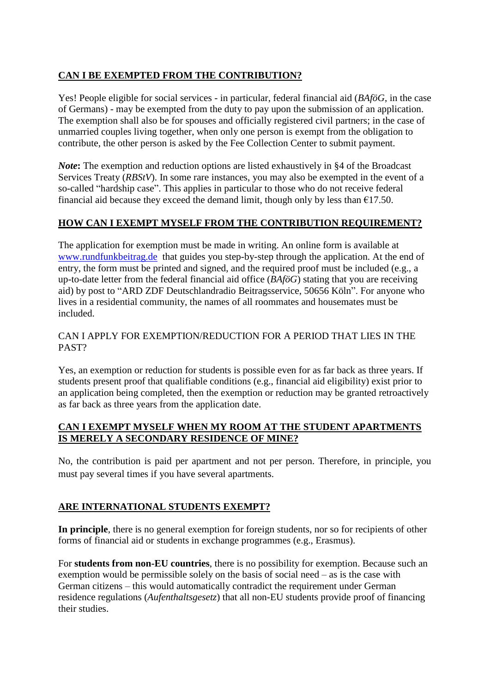## **CAN I BE EXEMPTED FROM THE CONTRIBUTION?**

Yes! People eligible for social services - in particular, federal financial aid (*BAföG*, in the case of Germans) - may be exempted from the duty to pay upon the submission of an application. The exemption shall also be for spouses and officially registered civil partners; in the case of unmarried couples living together, when only one person is exempt from the obligation to contribute, the other person is asked by the Fee Collection Center to submit payment.

*Note***:** The exemption and reduction options are listed exhaustively in §4 of the Broadcast Services Treaty (*RBStV*). In some rare instances, you may also be exempted in the event of a so-called "hardship case". This applies in particular to those who do not receive federal financial aid because they exceed the demand limit, though only by less than  $\epsilon$ 17.50.

### **HOW CAN I EXEMPT MYSELF FROM THE CONTRIBUTION REQUIREMENT?**

The application for exemption must be made in writing. An online form is available at [www.rundfunkbeitrag.de](http://www.rundfunkbeitrag.de/) that guides you step-by-step through the application. At the end of entry, the form must be printed and signed, and the required proof must be included (e.g., a up-to-date letter from the federal financial aid office (*BAföG*) stating that you are receiving aid) by post to "ARD ZDF Deutschlandradio Beitragsservice, 50656 Köln". For anyone who lives in a residential community, the names of all roommates and housemates must be included.

#### CAN I APPLY FOR EXEMPTION/REDUCTION FOR A PERIOD THAT LIES IN THE PAST?

Yes, an exemption or reduction for students is possible even for as far back as three years. If students present proof that qualifiable conditions (e.g., financial aid eligibility) exist prior to an application being completed, then the exemption or reduction may be granted retroactively as far back as three years from the application date.

### **CAN I EXEMPT MYSELF WHEN MY ROOM AT THE STUDENT APARTMENTS IS MERELY A SECONDARY RESIDENCE OF MINE?**

No, the contribution is paid per apartment and not per person. Therefore, in principle, you must pay several times if you have several apartments.

### **ARE INTERNATIONAL STUDENTS EXEMPT?**

**In principle**, there is no general exemption for foreign students, nor so for recipients of other forms of financial aid or students in exchange programmes (e.g., Erasmus).

For **students from non-EU countries**, there is no possibility for exemption. Because such an exemption would be permissible solely on the basis of social need – as is the case with German citizens – this would automatically contradict the requirement under German residence regulations (*Aufenthaltsgesetz*) that all non-EU students provide proof of financing their studies.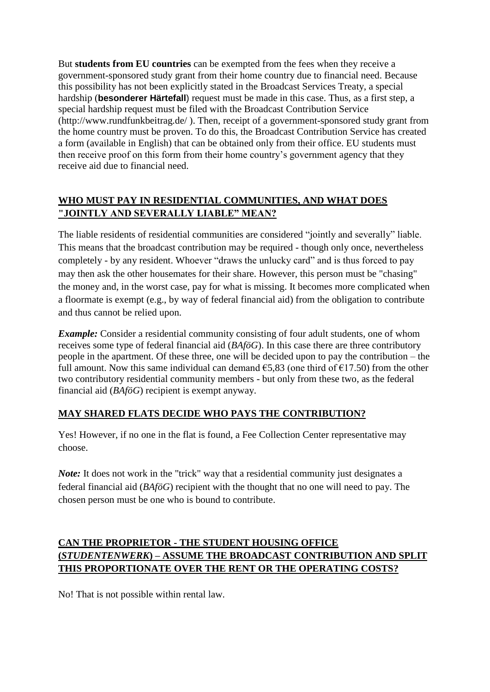But **students from EU countries** can be exempted from the fees when they receive a government-sponsored study grant from their home country due to financial need. Because this possibility has not been explicitly stated in the Broadcast Services Treaty, a special hardship (**besonderer Härtefall**) request must be made in this case. Thus, as a first step, a special hardship request must be filed with the Broadcast Contribution Service (http://www.rundfunkbeitrag.de/ ). Then, receipt of a government-sponsored study grant from the home country must be proven. To do this, the Broadcast Contribution Service has created a form (available in English) that can be obtained only from their office. EU students must then receive proof on this form from their home country's government agency that they receive aid due to financial need.

## **WHO MUST PAY IN RESIDENTIAL COMMUNITIES, AND WHAT DOES "JOINTLY AND SEVERALLY LIABLE" MEAN?**

The liable residents of residential communities are considered "jointly and severally" liable. This means that the broadcast contribution may be required - though only once, nevertheless completely - by any resident. Whoever "draws the unlucky card" and is thus forced to pay may then ask the other housemates for their share. However, this person must be "chasing" the money and, in the worst case, pay for what is missing. It becomes more complicated when a floormate is exempt (e.g., by way of federal financial aid) from the obligation to contribute and thus cannot be relied upon.

*Example:* Consider a residential community consisting of four adult students, one of whom receives some type of federal financial aid (*BAföG*). In this case there are three contributory people in the apartment. Of these three, one will be decided upon to pay the contribution – the full amount. Now this same individual can demand  $65,83$  (one third of  $617,50$ ) from the other two contributory residential community members - but only from these two, as the federal financial aid (*BAföG*) recipient is exempt anyway.

### **MAY SHARED FLATS DECIDE WHO PAYS THE CONTRIBUTION?**

Yes! However, if no one in the flat is found, a Fee Collection Center representative may choose.

*Note:* It does not work in the "trick" way that a residential community just designates a federal financial aid (*BAföG*) recipient with the thought that no one will need to pay. The chosen person must be one who is bound to contribute.

# **CAN THE PROPRIETOR - THE STUDENT HOUSING OFFICE (***STUDENTENWERK***) – ASSUME THE BROADCAST CONTRIBUTION AND SPLIT THIS PROPORTIONATE OVER THE RENT OR THE OPERATING COSTS?**

No! That is not possible within rental law.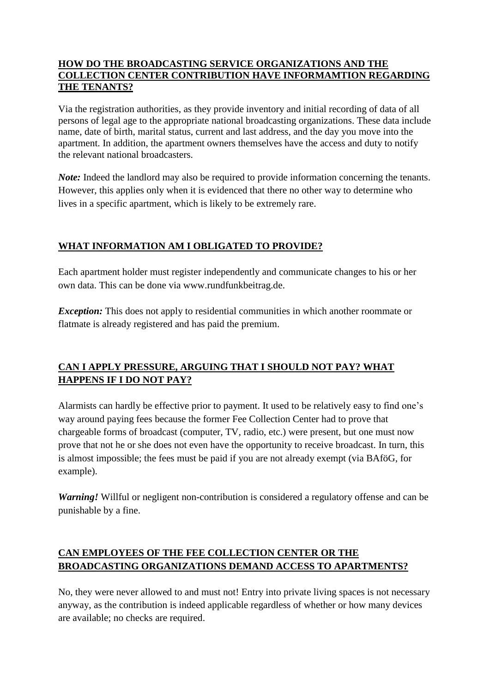### **HOW DO THE BROADCASTING SERVICE ORGANIZATIONS AND THE COLLECTION CENTER CONTRIBUTION HAVE INFORMAMTION REGARDING THE TENANTS?**

Via the registration authorities, as they provide inventory and initial recording of data of all persons of legal age to the appropriate national broadcasting organizations. These data include name, date of birth, marital status, current and last address, and the day you move into the apartment. In addition, the apartment owners themselves have the access and duty to notify the relevant national broadcasters.

*Note:* Indeed the landlord may also be required to provide information concerning the tenants. However, this applies only when it is evidenced that there no other way to determine who lives in a specific apartment, which is likely to be extremely rare.

## **WHAT INFORMATION AM I OBLIGATED TO PROVIDE?**

Each apartment holder must register independently and communicate changes to his or her own data. This can be done via www.rundfunkbeitrag.de.

*Exception:* This does not apply to residential communities in which another roommate or flatmate is already registered and has paid the premium.

## **CAN I APPLY PRESSURE, ARGUING THAT I SHOULD NOT PAY? WHAT HAPPENS IF I DO NOT PAY?**

Alarmists can hardly be effective prior to payment. It used to be relatively easy to find one's way around paying fees because the former Fee Collection Center had to prove that chargeable forms of broadcast (computer, TV, radio, etc.) were present, but one must now prove that not he or she does not even have the opportunity to receive broadcast. In turn, this is almost impossible; the fees must be paid if you are not already exempt (via BAföG, for example).

*Warning!* Willful or negligent non-contribution is considered a regulatory offense and can be punishable by a fine.

## **CAN EMPLOYEES OF THE FEE COLLECTION CENTER OR THE BROADCASTING ORGANIZATIONS DEMAND ACCESS TO APARTMENTS?**

No, they were never allowed to and must not! Entry into private living spaces is not necessary anyway, as the contribution is indeed applicable regardless of whether or how many devices are available; no checks are required.